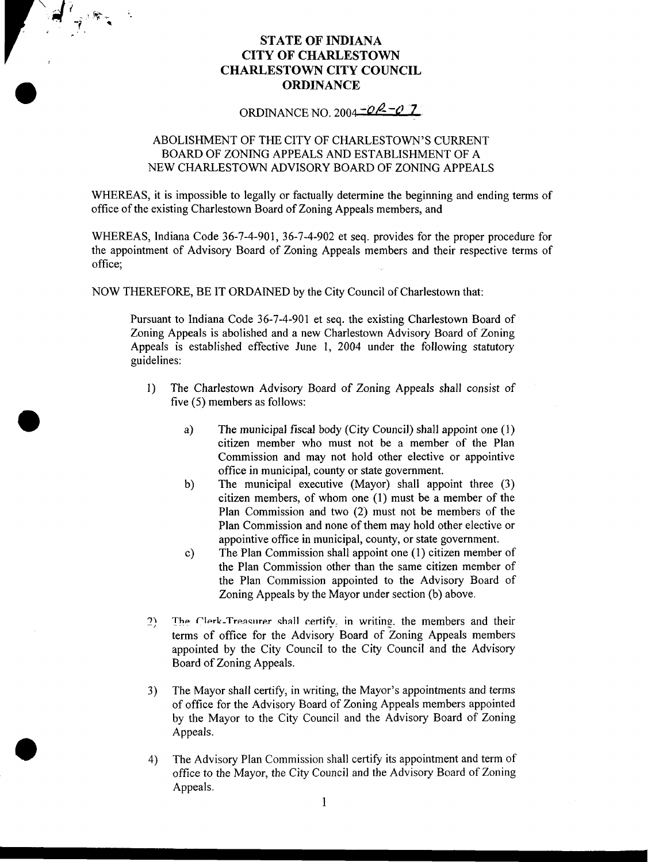## **STATE OF INDIANA CITY OF CHARLESTOWN CHARLESTOWN CITY COUNCIL ORDINANCE**

Jean Barbara

ORDINANCE NO. 2004  $-0$ <sup>2</sup>

## ABOLISHMENT OF THE CITY OF CHARLESTOWN'S CURRENT BOARD OF ZONING APPEALS AND ESTABLISHMENT OF A NEW CHARLESTOWN ADVISORY BOARD OF ZONING APPEALS

WHEREAS, it is impossible to legally or factually determine the beginning and ending terms of office of the existing Charlestown Board of Zoning Appeals members, and

WHEREAS, Indiana Code 36-7-4-901, 36-7-4-902 et seq. provides for the proper procedure for the appointment of Advisory Board of Zoning Appeals members and their respective terms of office;

NOW THEREFORE, BE IT ORDAINED by the City Council of Charlestown that:

Pursuant to Indiana Code 36-7-4-901 et seq. the existing Charlestown Board of Zoning Appeals is abolished and a new Charlestown Advisory Board of Zoning Appeals is established effective June 1, 2004 under the following statutory guidelines:

- 1) The Charlestown Advisory Board of Zoning Appeals shall consist of five *(5)* members as follows:
	- a) The municipal fiscal body (City Council) shall appoint one **(1)**  citizen member who must not be a member of the Plan Commission and may not hold other elective or appointive office in municipal, county or state government.
	- The municipal executive (Mayor) shall appoint three (3) citizen members, of whom one (1) must be a member of the Plan Commission and two (2) must not be members of the Plan Commission and none of them may hold other elective or appointive office in municipal, county, or state government. b)
	- The Plan Commission shall appoint one (1) citizen member of the Plan Commission other than the same citizen member of the Plan Commission appointed to the Advisory Board of Zoning Appeals by the Mayor under section (b) above. c)
- 2) **The Clerk-Treasurer shall** certify in writing. the members and their terms of office for the Advisory Board of Zoning Appeals members appointed by the City Council to the City Council and the Advisory Board of Zoning Appeals.
- The Mayor shall certify, in writing, the Mayor's appointments and terms of office for the Advisory Board of Zoning Appeals members appointed by the Mayor to the City Council and the Advisory Board of Zoning Appeals. 3)
- The Advisory Plan Commission shall certify its appointment and term of office *to* the Mayor, the City Council and the Advisory Board of Zoning Appeals. 4)